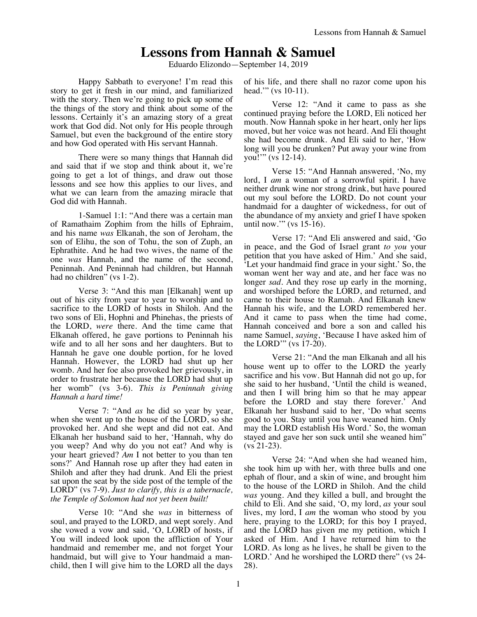# **Lessons from Hannah & Samuel**

Eduardo Elizondo—September 14, 2019

Happy Sabbath to everyone! I'm read this story to get it fresh in our mind, and familiarized with the story. Then we're going to pick up some of the things of the story and think about some of the lessons. Certainly it's an amazing story of a great work that God did. Not only for His people through Samuel, but even the background of the entire story and how God operated with His servant Hannah.

There were so many things that Hannah did and said that if we stop and think about it, we're going to get a lot of things, and draw out those lessons and see how this applies to our lives, and what we can learn from the amazing miracle that God did with Hannah.

1-Samuel 1:1: "And there was a certain man of Ramathaim Zophim from the hills of Ephraim, and his name *was* Elkanah, the son of Jeroham, the son of Elihu, the son of Tohu, the son of Zuph, an Ephrathite. And he had two wives, the name of the one *was* Hannah, and the name of the second, Peninnah. And Peninnah had children, but Hannah had no children" (vs 1-2).

Verse 3: "And this man [Elkanah] went up out of his city from year to year to worship and to sacrifice to the LORD of hosts in Shiloh. And the two sons of Eli, Hophni and Phinehas, the priests of the LORD, *were* there. And the time came that Elkanah offered, he gave portions to Peninnah his wife and to all her sons and her daughters. But to Hannah he gave one double portion, for he loved Hannah. However, the LORD had shut up her womb. And her foe also provoked her grievously, in order to frustrate her because the LORD had shut up her womb" (vs 3-6). *This is Peninnah giving Hannah a hard time!*

Verse 7: "And *as* he did so year by year, when she went up to the house of the LORD, so she provoked her. And she wept and did not eat. And Elkanah her husband said to her, 'Hannah, why do you weep? And why do you not eat? And why is your heart grieved? *Am* I not better to you than ten sons?' And Hannah rose up after they had eaten in Shiloh and after they had drunk. And Eli the priest sat upon the seat by the side post of the temple of the LORD" (vs 7-9). *Just to clarify, this is a tabernacle, the Temple of Solomon had not yet been built!*

Verse 10: "And she *was* in bitterness of soul, and prayed to the LORD, and wept sorely. And she vowed a vow and said, 'O, LORD of hosts, if You will indeed look upon the affliction of Your handmaid and remember me, and not forget Your handmaid, but will give to Your handmaid a manchild, then I will give him to the LORD all the days of his life, and there shall no razor come upon his head." (vs 10-11).

Verse 12: "And it came to pass as she continued praying before the LORD, Eli noticed her mouth. Now Hannah spoke in her heart, only her lips moved, but her voice was not heard. And Eli thought she had become drunk. And Eli said to her, 'How long will you be drunken? Put away your wine from you!'" (vs 12-14).

Verse 15: "And Hannah answered, 'No, my lord, I *am* a woman of a sorrowful spirit. I have neither drunk wine nor strong drink, but have poured out my soul before the LORD. Do not count your handmaid for a daughter of wickedness, for out of the abundance of my anxiety and grief I have spoken until now.'" (vs 15-16).

Verse 17: "And Eli answered and said, 'Go in peace, and the God of Israel grant *to you* your petition that you have asked of Him.' And she said, 'Let your handmaid find grace in your sight.' So, the woman went her way and ate, and her face was no longer *sad*. And they rose up early in the morning, and worshiped before the LORD, and returned, and came to their house to Ramah. And Elkanah knew Hannah his wife, and the LORD remembered her. And it came to pass when the time had come, Hannah conceived and bore a son and called his name Samuel, *saying*, 'Because I have asked him of the LORD'" (vs 17-20).

Verse 21: "And the man Elkanah and all his house went up to offer to the LORD the yearly sacrifice and his vow. But Hannah did not go up, for she said to her husband, 'Until the child is weaned, and then I will bring him so that he may appear before the LORD and stay there forever.' And Elkanah her husband said to her, 'Do what seems good to you. Stay until you have weaned him. Only may the LORD establish His Word.' So, the woman stayed and gave her son suck until she weaned him" (vs 21-23).

Verse 24: "And when she had weaned him, she took him up with her, with three bulls and one ephah of flour, and a skin of wine, and brought him to the house of the LORD in Shiloh. And the child *was* young. And they killed a bull, and brought the child to Eli. And she said, 'O, my lord, *as* your soul lives, my lord, I *am* the woman who stood by you here, praying to the LORD; for this boy I prayed, and the LORD has given me my petition, which I asked of Him. And I have returned him to the LORD. As long as he lives, he shall be given to the LORD.' And he worshiped the LORD there" (vs 24- 28).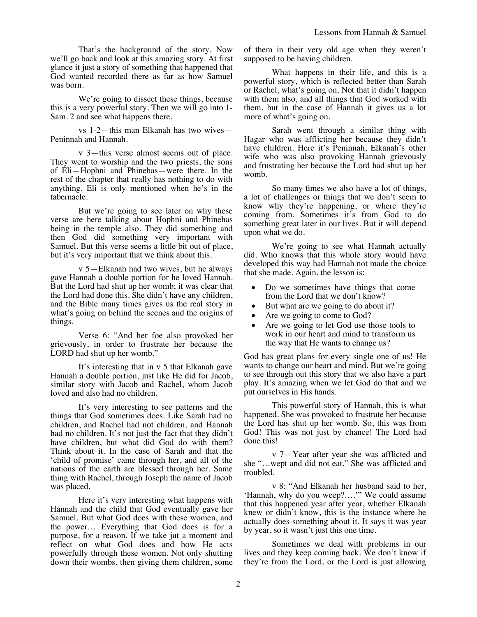We're going to dissect these things, because this is a very powerful story. Then we will go into 1- Sam. 2 and see what happens there.

vs 1-2—this man Elkanah has two wives— Peninnah and Hannah.

v 3—this verse almost seems out of place. They went to worship and the two priests, the sons of Eli—Hophni and Phinehas—were there. In the rest of the chapter that really has nothing to do with anything. Eli is only mentioned when he's in the tabernacle.

But we're going to see later on why these verse are here talking about Hophni and Phinehas being in the temple also. They did something and then God did something very important with Samuel. But this verse seems a little bit out of place, but it's very important that we think about this.

v 5—Elkanah had two wives, but he always gave Hannah a double portion for he loved Hannah. But the Lord had shut up her womb; it was clear that the Lord had done this. She didn't have any children, and the Bible many times gives us the real story in what's going on behind the scenes and the origins of things.

Verse 6: "And her foe also provoked her grievously, in order to frustrate her because the LORD had shut up her womb."

It's interesting that in v 5 that Elkanah gave Hannah a double portion, just like He did for Jacob, similar story with Jacob and Rachel, whom Jacob loved and also had no children.

It's very interesting to see patterns and the things that God sometimes does. Like Sarah had no children, and Rachel had not children, and Hannah had no children. It's not just the fact that they didn't have children, but what did God do with them? Think about it. In the case of Sarah and that the 'child of promise' came through her, and all of the nations of the earth are blessed through her. Same thing with Rachel, through Joseph the name of Jacob was placed.

Here it's very interesting what happens with Hannah and the child that God eventually gave her Samuel. But what God does with these women, and the power… Everything that God does is for a purpose, for a reason. If we take jut a moment and reflect on what God does and how He acts powerfully through these women. Not only shutting down their wombs, then giving them children, some of them in their very old age when they weren't supposed to be having children.

What happens in their life, and this is a powerful story, which is reflected better than Sarah or Rachel, what's going on. Not that it didn't happen with them also, and all things that God worked with them, but in the case of Hannah it gives us a lot more of what's going on.

Sarah went through a similar thing with Hagar who was afflicting her because they didn't have children. Here it's Peninnah, Elkanah's other wife who was also provoking Hannah grievously and frustrating her because the Lord had shut up her womb.

So many times we also have a lot of things, a lot of challenges or things that we don't seem to know why they're happening, or where they're coming from. Sometimes it's from God to do something great later in our lives. But it will depend upon what we do.

We're going to see what Hannah actually did. Who knows that this whole story would have developed this way had Hannah not made the choice that she made. Again, the lesson is:

- Do we sometimes have things that come from the Lord that we don't know?
- But what are we going to do about it?
- Are we going to come to God?
- Are we going to let God use those tools to work in our heart and mind to transform us the way that He wants to change us?

God has great plans for every single one of us! He wants to change our heart and mind. But we're going to see through out this story that we also have a part play. It's amazing when we let God do that and we put ourselves in His hands.

This powerful story of Hannah, this is what happened. She was provoked to frustrate her because the Lord has shut up her womb. So, this was from God! This was not just by chance! The Lord had done this!

v 7—Year after year she was afflicted and she "…wept and did not eat." She was afflicted and troubled.

v 8: "And Elkanah her husband said to her, 'Hannah, why do you weep?….'" We could assume that this happened year after year, whether Elkanah knew or didn't know, this is the instance where he actually does something about it. It says it was year by year, so it wasn't just this one time.

Sometimes we deal with problems in our lives and they keep coming back. We don't know if they're from the Lord, or the Lord is just allowing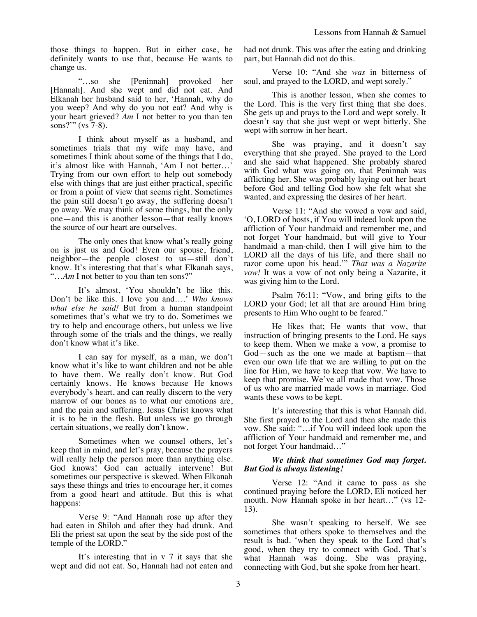those things to happen. But in either case, he definitely wants to use that, because He wants to change us.

"…so she [Peninnah] provoked her [Hannah]. And she wept and did not eat. And Elkanah her husband said to her, 'Hannah, why do you weep? And why do you not eat? And why is your heart grieved? *Am* I not better to you than ten sons?'" (vs 7-8).

I think about myself as a husband, and sometimes trials that my wife may have, and sometimes I think about some of the things that I do, it's almost like with Hannah, 'Am I not better…' Trying from our own effort to help out somebody else with things that are just either practical, specific or from a point of view that seems right. Sometimes the pain still doesn't go away, the suffering doesn't go away. We may think of some things, but the only one—and this is another lesson—that really knows the source of our heart are ourselves.

The only ones that know what's really going on is just us and God! Even our spouse, friend, neighbor—the people closest to us—still don't know. It's interesting that that's what Elkanah says, "…*Am* I not better to you than ten sons?"

It's almost, 'You shouldn't be like this. Don't be like this. I love you and….' *Who knows what else he said!* But from a human standpoint sometimes that's what we try to do. Sometimes we try to help and encourage others, but unless we live through some of the trials and the things, we really don't know what it's like.

I can say for myself, as a man, we don't know what it's like to want children and not be able to have them. We really don't know. But God certainly knows. He knows because He knows everybody's heart, and can really discern to the very marrow of our bones as to what our emotions are, and the pain and suffering. Jesus Christ knows what it is to be in the flesh. But unless we go through certain situations, we really don't know.

Sometimes when we counsel others, let's keep that in mind, and let's pray, because the prayers will really help the person more than anything else. God knows! God can actually intervene! But sometimes our perspective is skewed. When Elkanah says these things and tries to encourage her, it comes from a good heart and attitude. But this is what happens:

Verse 9: "And Hannah rose up after they had eaten in Shiloh and after they had drunk. And Eli the priest sat upon the seat by the side post of the temple of the LORD."

It's interesting that in v 7 it says that she wept and did not eat. So, Hannah had not eaten and had not drunk. This was after the eating and drinking part, but Hannah did not do this.

Verse 10: "And she *was* in bitterness of soul, and prayed to the LORD, and wept sorely."

This is another lesson, when she comes to the Lord. This is the very first thing that she does. She gets up and prays to the Lord and wept sorely. It doesn't say that she just wept or wept bitterly. She wept with sorrow in her heart.

She was praying, and it doesn't say everything that she prayed. She prayed to the Lord and she said what happened. She probably shared with God what was going on, that Peninnah was afflicting her. She was probably laying out her heart before God and telling God how she felt what she wanted, and expressing the desires of her heart.

Verse 11: "And she vowed a vow and said, 'O, LORD of hosts, if You will indeed look upon the affliction of Your handmaid and remember me, and not forget Your handmaid, but will give to Your handmaid a man-child, then I will give him to the LORD all the days of his life, and there shall no razor come upon his head.'" *That was a Nazarite vow!* It was a vow of not only being a Nazarite, it was giving him to the Lord.

Psalm 76:11: "Vow, and bring gifts to the LORD your God; let all that are around Him bring presents to Him Who ought to be feared."

He likes that; He wants that vow, that instruction of bringing presents to the Lord. He says to keep them. When we make a vow, a promise to God—such as the one we made at baptism—that even our own life that we are willing to put on the line for Him, we have to keep that vow. We have to keep that promise. We've all made that vow. Those of us who are married made vows in marriage. God wants these vows to be kept.

It's interesting that this is what Hannah did. She first prayed to the Lord and then she made this vow. She said: "…if You will indeed look upon the affliction of Your handmaid and remember me, and not forget Your handmaid…"

## *We think that sometimes God may forget. But God is always listening!*

Verse 12: "And it came to pass as she continued praying before the LORD, Eli noticed her mouth. Now Hannah spoke in her heart…" (vs 12- 13).

She wasn't speaking to herself. We see sometimes that others spoke to themselves and the result is bad. 'when they speak to the Lord that's good, when they try to connect with God. That's what Hannah was doing. She was praying, connecting with God, but she spoke from her heart.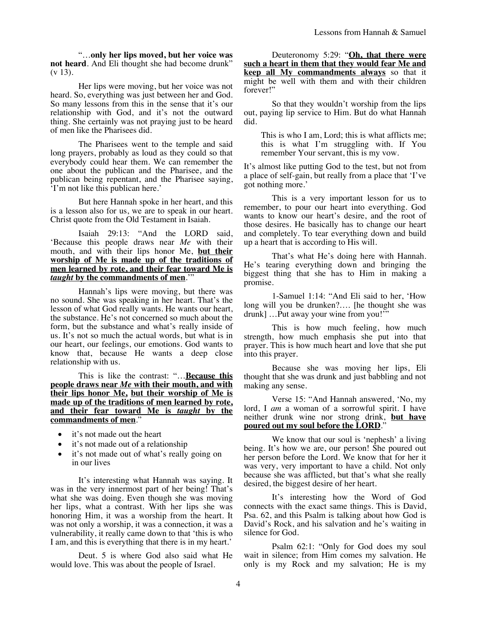"…**only her lips moved, but her voice was not heard**. And Eli thought she had become drunk"  $(v 13)$ .

Her lips were moving, but her voice was not heard. So, everything was just between her and God. So many lessons from this in the sense that it's our relationship with God, and it's not the outward thing. She certainly was not praying just to be heard of men like the Pharisees did.

The Pharisees went to the temple and said long prayers, probably as loud as they could so that everybody could hear them. We can remember the one about the publican and the Pharisee, and the publican being repentant, and the Pharisee saying, 'I'm not like this publican here.'

But here Hannah spoke in her heart, and this is a lesson also for us, we are to speak in our heart. Christ quote from the Old Testament in Isaiah.

Isaiah 29:13: "And the LORD said, 'Because this people draws near *Me* with their mouth, and with their lips honor Me, **but their worship of Me is made up of the traditions of men learned by rote, and their fear toward Me is**  *taught* **by the commandments of men**.'"

Hannah's lips were moving, but there was no sound. She was speaking in her heart. That's the lesson of what God really wants. He wants our heart, the substance. He's not concerned so much about the form, but the substance and what's really inside of us. It's not so much the actual words, but what is in our heart, our feelings, our emotions. God wants to know that, because He wants a deep close relationship with us.

This is like the contrast: "…**Because this people draws near** *Me* **with their mouth, and with their lips honor Me, but their worship of Me is made up of the traditions of men learned by rote, and their fear toward Me is** *taught* **by the commandments of men**."

- it's not made out the heart
- it's not made out of a relationship
- it's not made out of what's really going on in our lives

It's interesting what Hannah was saying. It was in the very innermost part of her being! That's what she was doing. Even though she was moving her lips, what a contrast. With her lips she was honoring Him, it was a worship from the heart. It was not only a worship, it was a connection, it was a vulnerability, it really came down to that 'this is who I am, and this is everything that there is in my heart.'

Deut. 5 is where God also said what He would love. This was about the people of Israel.

Deuteronomy 5:29: "**Oh, that there were such a heart in them that they would fear Me and keep all My commandments always** so that it might be well with them and with their children forever!"

So that they wouldn't worship from the lips out, paying lip service to Him. But do what Hannah did.

This is who I am, Lord; this is what afflicts me; this is what I'm struggling with. If You remember Your servant, this is my vow.

It's almost like putting God to the test, but not from a place of self-gain, but really from a place that 'I've got nothing more.'

This is a very important lesson for us to remember, to pour our heart into everything. God wants to know our heart's desire, and the root of those desires. He basically has to change our heart and completely. To tear everything down and build up a heart that is according to His will.

That's what He's doing here with Hannah. He's tearing everything down and bringing the biggest thing that she has to Him in making a promise.

1-Samuel 1:14: "And Eli said to her, 'How long will you be drunken?…. [he thought she was drunk] …Put away your wine from you!'"

This is how much feeling, how much strength, how much emphasis she put into that prayer. This is how much heart and love that she put into this prayer.

Because she was moving her lips, Eli thought that she was drunk and just babbling and not making any sense.

Verse 15: "And Hannah answered, 'No, my lord, I *am* a woman of a sorrowful spirit. I have neither drunk wine nor strong drink, **but have poured out my soul before the LORD**."

We know that our soul is 'nephesh' a living being. It's how we are, our person! She poured out her person before the Lord. We know that for her it was very, very important to have a child. Not only because she was afflicted, but that's what she really desired, the biggest desire of her heart.

It's interesting how the Word of God connects with the exact same things. This is David, Psa. 62, and this Psalm is talking about how God is David's Rock, and his salvation and he's waiting in silence for God.

Psalm 62:1: "Only for God does my soul wait in silence; from Him comes my salvation. He only is my Rock and my salvation; He is my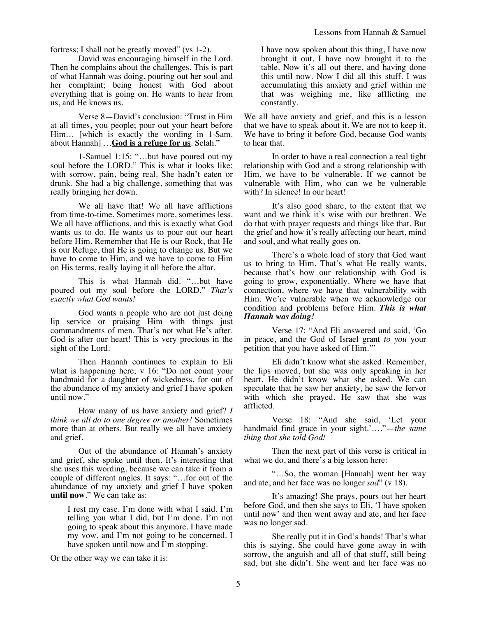fortress; I shall not be greatly moved" (vs 1-2).

David was encouraging himself in the Lord. Then he complains about the challenges. This is part of what Hannah was doing, pouring out her soul and her complaint; being honest with God about everything that is going on. He wants to hear from us, and He knows us.

Verse 8—David's conclusion: "Trust in Him at all times, you people; pour out your heart before Him… [which is exactly the wording in 1-Sam. about Hannah] …**God is a refuge for us**. Selah."

1-Samuel 1:15: "…but have poured out my soul before the LORD." This is what it looks like: with sorrow, pain, being real. She hadn't eaten or drunk. She had a big challenge, something that was really bringing her down.

We all have that! We all have afflictions from time-to-time. Sometimes more, sometimes less. We all have afflictions, and this is exactly what God wants us to do. He wants us to pour out our heart before Him. Remember that He is our Rock, that He is our Refuge, that He is going to change us. But we have to come to Him, and we have to come to Him on His terms, really laying it all before the altar.

This is what Hannah did. "…but have poured out my soul before the LORD." *That's exactly what God wants!*

God wants a people who are not just doing lip service or praising Him with things just commandments of men. That's not what He's after. God is after our heart! This is very precious in the sight of the Lord.

Then Hannah continues to explain to Eli what is happening here; v 16: "Do not count your handmaid for a daughter of wickedness, for out of the abundance of my anxiety and grief I have spoken until now."

How many of us have anxiety and grief? *I think we all do to one degree or another!* Sometimes more than at others. But really we all have anxiety and grief.

Out of the abundance of Hannah's anxiety and grief, she spoke until then. It's interesting that she uses this wording, because we can take it from a couple of different angles. It says: "…for out of the abundance of my anxiety and grief I have spoken **until now**." We can take as:

I rest my case. I'm done with what I said. I'm telling you what I did, but I'm done. I'm not going to speak about this anymore. I have made my vow, and I'm not going to be concerned. I have spoken until now and  $\overline{I}$ 'm stopping.

Or the other way we can take it is:

I have now spoken about this thing, I have now brought it out, I have now brought it to the table. Now it's all out there, and having done this until now. Now I did all this stuff. I was accumulating this anxiety and grief within me that was weighing me, like afflicting me constantly.

We all have anxiety and grief, and this is a lesson that we have to speak about it. We are not to keep it. We have to bring it before God, because God wants to hear that.

In order to have a real connection a real tight relationship with God and a strong relationship with Him, we have to be vulnerable. If we cannot be vulnerable with Him, who can we be vulnerable with? In silence! In our heart!

It's also good share, to the extent that we want and we think it's wise with our brethren. We do that with prayer requests and things like that. But the grief and how it's really affecting our heart, mind and soul, and what really goes on.

There's a whole load of story that God want us to bring to Him. That's what He really wants, because that's how our relationship with God is going to grow, exponentially. Where we have that connection, where we have that vulnerability with Him. We're vulnerable when we acknowledge our condition and problems before Him. *This is what Hannah was doing!*

Verse 17: "And Eli answered and said, 'Go in peace, and the God of Israel grant *to you* your petition that you have asked of Him.'"

Eli didn't know what she asked. Remember, the lips moved, but she was only speaking in her heart. He didn't know what she asked. We can speculate that he saw her anxiety, he saw the fervor with which she prayed. He saw that she was afflicted.

Verse 18: "And she said, 'Let your handmaid find grace in your sight.'…."—*the same thing that she told God!*

Then the next part of this verse is critical in what we do, and there's a big lesson here:

"…So, the woman [Hannah] went her way and ate, and her face was no longer *sad*" (v 18).

It's amazing! She prays, pours out her heart before God, and then she says to Eli, 'I have spoken until now' and then went away and ate, and her face was no longer sad.

She really put it in God's hands! That's what this is saying. She could have gone away in with sorrow, the anguish and all of that stuff, still being sad, but she didn't. She went and her face was no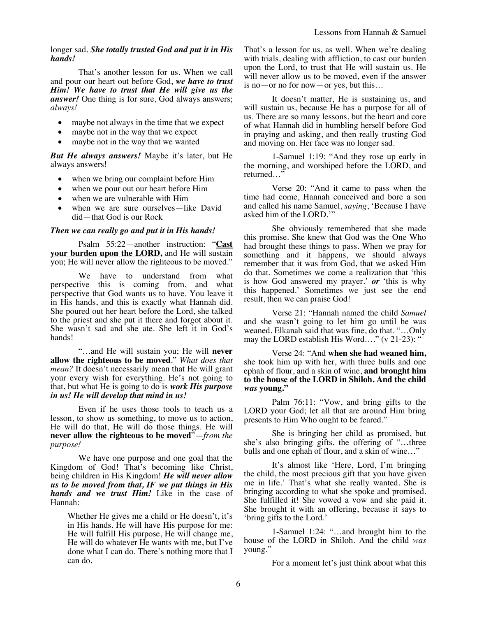#### longer sad. *She totally trusted God and put it in His hands!*

That's another lesson for us. When we call and pour our heart out before God, *we have to trust Him! We have to trust that He will give us the answer!* One thing is for sure, God always answers; *always!*

- maybe not always in the time that we expect
- maybe not in the way that we expect
- maybe not in the way that we wanted

*But He always answers!* Maybe it's later, but He always answers!

- when we bring our complaint before Him
- when we pour out our heart before Him
- when we are vulnerable with Him
- when we are sure ourselves—like David did—that God is our Rock

#### *Then we can really go and put it in His hands!*

Psalm 55:22—another instruction: "**Cast your burden upon the LORD, and He will sustain** you; He will never allow the righteous to be moved."

We have to understand from what perspective this is coming from, and what perspective that God wants us to have. You leave it in His hands, and this is exactly what Hannah did. She poured out her heart before the Lord, she talked to the priest and she put it there and forgot about it. She wasn't sad and she ate. She left it in God's hands!

"…and He will sustain you; He will **never allow the righteous to be moved**." *What does that mean?* It doesn't necessarily mean that He will grant your every wish for everything. He's not going to that, but what He is going to do is *work His purpose in us! He will develop that mind in us!*

Even if he uses those tools to teach us a lesson, to show us something, to move us to action, He will do that, He will do those things. He will **never allow the righteous to be moved**"—*from the purpose!*

We have one purpose and one goal that the Kingdom of God! That's becoming like Christ, being children in His Kingdom! *He will never allow us to be moved from that, IF we put things in His hands and we trust Him!* Like in the case of Hannah:

Whether He gives me a child or He doesn't, it's in His hands. He will have His purpose for me: He will fulfill His purpose, He will change me, He will do whatever He wants with me, but I've done what I can do. There's nothing more that I can do.

That's a lesson for us, as well. When we're dealing with trials, dealing with affliction, to cast our burden upon the Lord, to trust that He will sustain us. He will never allow us to be moved, even if the answer is no—or no for now—or yes, but this…

It doesn't matter, He is sustaining us, and will sustain us, because He has a purpose for all of us. There are so many lessons, but the heart and core of what Hannah did in humbling herself before God in praying and asking, and then really trusting God and moving on. Her face was no longer sad.

1-Samuel 1:19: "And they rose up early in the morning, and worshiped before the LORD, and returned…"

Verse 20: "And it came to pass when the time had come, Hannah conceived and bore a son and called his name Samuel, *saying*, 'Because I have asked him of the LORD.'"

She obviously remembered that she made this promise. She knew that God was the One Who had brought these things to pass. When we pray for something and it happens, we should always remember that it was from God, that we asked Him do that. Sometimes we come a realization that 'this is how God answered my prayer.' *or* 'this is why this happened.' Sometimes we just see the end result, then we can praise God!

Verse 21: "Hannah named the child *Samuel*  and she wasn't going to let him go until he was weaned. Elkanah said that was fine, do that. "…Only may the LORD establish His Word...." (v 21-23): "

Verse 24: "And **when she had weaned him,** she took him up with her, with three bulls and one ephah of flour, and a skin of wine, **and brought him to the house of the LORD in Shiloh. And the child**  *was* **young."**

Palm 76:11: "Vow, and bring gifts to the LORD your God; let all that are around Him bring presents to Him Who ought to be feared."

She is bringing her child as promised, but she's also bringing gifts, the offering of "…three bulls and one ephah of flour, and a skin of wine…"

It's almost like 'Here, Lord, I'm bringing the child, the most precious gift that you have given me in life.' That's what she really wanted. She is bringing according to what she spoke and promised. She fulfilled it! She vowed a vow and she paid it. She brought it with an offering, because it says to 'bring gifts to the Lord.'

1-Samuel 1:24: "…and brought him to the house of the LORD in Shiloh. And the child *was* young."

For a moment let's just think about what this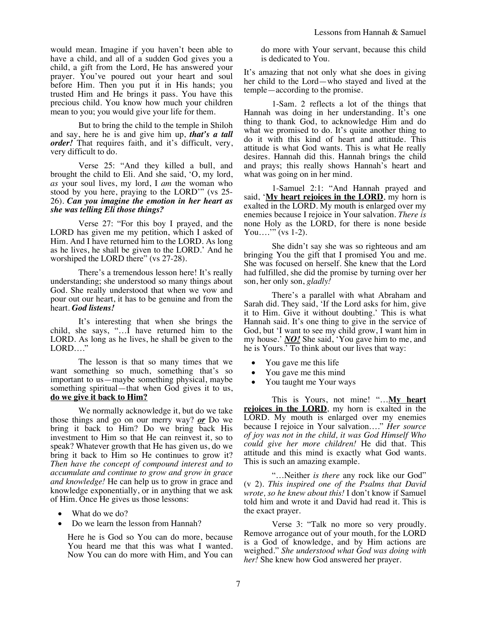would mean. Imagine if you haven't been able to have a child, and all of a sudden God gives you a child, a gift from the Lord, He has answered your prayer. You've poured out your heart and soul before Him. Then you put it in His hands; you trusted Him and He brings it pass. You have this precious child. You know how much your children mean to you; you would give your life for them.

But to bring the child to the temple in Shiloh and say, here he is and give him up, *that's a tall order!* That requires faith, and it's difficult, very, very difficult to do.

Verse 25: "And they killed a bull, and brought the child to Eli. And she said, 'O, my lord, *as* your soul lives, my lord, I *am* the woman who stood by you here, praying to the LORD'" (vs 25- 26). *Can you imagine the emotion in her heart as she was telling Eli those things?* 

Verse 27: "For this boy I prayed, and the LORD has given me my petition, which I asked of Him. And I have returned him to the LORD. As long as he lives, he shall be given to the LORD.' And he worshiped the LORD there" (vs 27-28).

There's a tremendous lesson here! It's really understanding; she understood so many things about God. She really understood that when we vow and pour out our heart, it has to be genuine and from the heart. *God listens!*

It's interesting that when she brings the child, she says, " $\ldots$  have returned him to the LORD. As long as he lives, he shall be given to the LORD…."

The lesson is that so many times that we want something so much, something that's so important to us—maybe something physical, maybe something spiritual—that when God gives it to us, **do we give it back to Him?**

We normally acknowledge it, but do we take those things and go on our merry way? *or* Do we bring it back to Him? Do we bring back His investment to Him so that He can reinvest it, so to speak? Whatever growth that He has given us, do we bring it back to Him so He continues to grow it? *Then have the concept of compound interest and to accumulate and continue to grow and grow in grace and knowledge!* He can help us to grow in grace and knowledge exponentially, or in anything that we ask of Him. Once He gives us those lessons:

- What do we do?
- Do we learn the lesson from Hannah?

Here he is God so You can do more, because You heard me that this was what I wanted. Now You can do more with Him, and You can do more with Your servant, because this child is dedicated to You.

It's amazing that not only what she does in giving her child to the Lord—who stayed and lived at the temple—according to the promise.

1-Sam. 2 reflects a lot of the things that Hannah was doing in her understanding. It's one thing to thank God, to acknowledge Him and do what we promised to do. It's quite another thing to do it with this kind of heart and attitude. This attitude is what God wants. This is what He really desires. Hannah did this. Hannah brings the child and prays; this really shows Hannah's heart and what was going on in her mind.

1-Samuel 2:1: "And Hannah prayed and said, '**My heart rejoices in the LORD**, my horn is exalted in the LORD. My mouth is enlarged over my enemies because I rejoice in Your salvation. *There is* none Holy as the LORD, for there is none beside You...." (vs 1-2).

She didn't say she was so righteous and am bringing You the gift that I promised You and me. She was focused on herself. She knew that the Lord had fulfilled, she did the promise by turning over her son, her only son, *gladly!*

There's a parallel with what Abraham and Sarah did. They said, 'If the Lord asks for him, give it to Him. Give it without doubting.' This is what Hannah said. It's one thing to give in the service of God, but 'I want to see my child grow, I want him in my house.' *NO!* She said, 'You gave him to me, and he is Yours.' To think about our lives that way:

- You gave me this life
- You gave me this mind
- You taught me Your ways

This is Yours, not mine! "...**My heart rejoices in the LORD**, my horn is exalted in the LORD. My mouth is enlarged over my enemies because I rejoice in Your salvation…." *Her source of joy was not in the child, it was God Himself Who could give her more children!* He did that. This attitude and this mind is exactly what God wants. This is such an amazing example.

"…Neither *is there* any rock like our God" (v 2). *This inspired one of the Psalms that David wrote, so he knew about this!* I don't know if Samuel told him and wrote it and David had read it. This is the exact prayer.

Verse 3: "Talk no more so very proudly. Remove arrogance out of your mouth, for the LORD is a God of knowledge, and by Him actions are weighed." *She understood what God was doing with her!* She knew how God answered her prayer.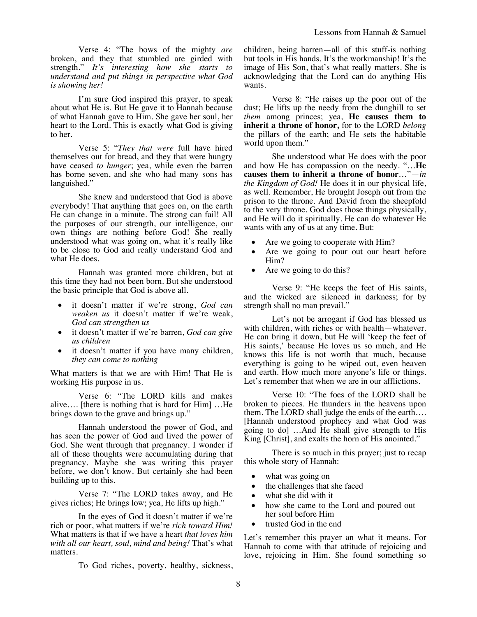Verse 4: "The bows of the mighty *are* broken, and they that stumbled are girded with strength." *It's interesting how she starts to understand and put things in perspective what God is showing her!*

I'm sure God inspired this prayer, to speak about what He is. But He gave it to Hannah because of what Hannah gave to Him. She gave her soul, her heart to the Lord. This is exactly what God is giving to her.

Verse 5: "*They that were* full have hired themselves out for bread, and they that were hungry have ceased *to hunger*; yea, while even the barren has borne seven, and she who had many sons has languished."

She knew and understood that God is above everybody! That anything that goes on, on the earth He can change in a minute. The strong can fail! All the purposes of our strength, our intelligence, our own things are nothing before God! She really understood what was going on, what it's really like to be close to God and really understand God and what He does.

Hannah was granted more children, but at this time they had not been born. But she understood the basic principle that God is above all.

- it doesn't matter if we're strong, *God can weaken us* it doesn't matter if we're weak, *God can strengthen us*
- it doesn't matter if we're barren, *God can give us children*
- it doesn't matter if you have many children, *they can come to nothing*

What matters is that we are with Him! That He is working His purpose in us.

Verse 6: "The LORD kills and makes alive…. [there is nothing that is hard for Him] …He brings down to the grave and brings up."

Hannah understood the power of God, and has seen the power of God and lived the power of God. She went through that pregnancy. I wonder if all of these thoughts were accumulating during that pregnancy. Maybe she was writing this prayer before, we don't know. But certainly she had been building up to this.

Verse 7: "The LORD takes away, and He gives riches; He brings low; yea, He lifts up high."

In the eyes of God it doesn't matter if we're rich or poor, what matters if we're *rich toward Him!* What matters is that if we have a heart *that loves him with all our heart, soul, mind and being!* That's what matters.

To God riches, poverty, healthy, sickness,

children, being barren—all of this stuff-is nothing but tools in His hands. It's the workmanship! It's the image of His Son, that's what really matters. She is acknowledging that the Lord can do anything His wants.

Verse 8: "He raises up the poor out of the dust; He lifts up the needy from the dunghill to set *them* among princes; yea, **He causes them to inherit a throne of honor,** for to the LORD *belong* the pillars of the earth; and He sets the habitable world upon them."

She understood what He does with the poor and how He has compassion on the needy. "…**He causes them to inherit a throne of honor**…"—*in the Kingdom of God!* He does it in our physical life, as well. Remember, He brought Joseph out from the prison to the throne. And David from the sheepfold to the very throne. God does those things physically, and He will do it spiritually. He can do whatever He wants with any of us at any time. But:

- Are we going to cooperate with Him?
- Are we going to pour out our heart before Him?
- Are we going to do this?

Verse 9: "He keeps the feet of His saints, and the wicked are silenced in darkness; for by strength shall no man prevail."

Let's not be arrogant if God has blessed us with children, with riches or with health—whatever. He can bring it down, but He will 'keep the feet of His saints,' because He loves us so much, and He knows this life is not worth that much, because everything is going to be wiped out, even heaven and earth. How much more anyone's life or things. Let's remember that when we are in our afflictions.

Verse 10: "The foes of the LORD shall be broken to pieces. He thunders in the heavens upon them. The LORD shall judge the ends of the earth…. [Hannah understood prophecy and what God was going to do] …And He shall give strength to His King [Christ], and exalts the horn of His anointed."

There is so much in this prayer; just to recap this whole story of Hannah:

- what was going on
- the challenges that she faced
- what she did with it
- how she came to the Lord and poured out her soul before Him
- trusted God in the end

Let's remember this prayer an what it means. For Hannah to come with that attitude of rejoicing and love, rejoicing in Him. She found something so